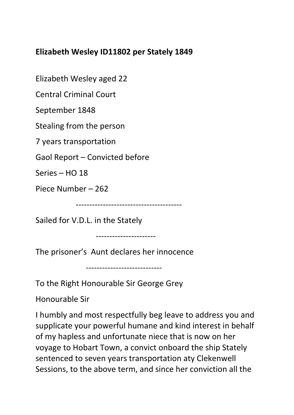## **Elizabeth Wesley ID11802 per Stately 1849**

Elizabeth Wesley aged 22

Central Criminal Court

September 1848

Stealing from the person

7 years transportation

Gaol Report – Convicted before

Series – HO 18

Piece Number – 262

---------------------------------------

Sailed for V.D.L. in the Stately

----------------------

The prisoner's Aunt declares her innocence

----------------------------

To the Right Honourable Sir George Grey

Honourable Sir

I humbly and most respectfully beg leave to address you and supplicate your powerful humane and kind interest in behalf of my hapless and unfortunate niece that is now on her voyage to Hobart Town, a convict onboard the ship Stately sentenced to seven years transportation aty Clekenwell Sessions, to the above term, and since her conviction all the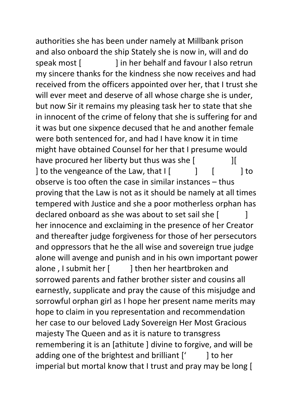authorities she has been under namely at Millbank prison and also onboard the ship Stately she is now in, will and do speak most [ ] in her behalf and favour I also retrun my sincere thanks for the kindness she now receives and had received from the officers appointed over her, that I trust she will ever meet and deserve of all whose charge she is under, but now Sir it remains my pleasing task her to state that she in innocent of the crime of felony that she is suffering for and it was but one sixpence decused that he and another female were both sentenced for, and had I have know it in time might have obtained Counsel for her that I presume would have procured her liberty but thus was she  $[$ ] to the vengeance of the Law, that  $\begin{bmatrix} 1 & 1 \end{bmatrix}$  [  $\begin{bmatrix} 1 & 1 \end{bmatrix}$  to observe is too often the case in similar instances – thus proving that the Law is not as it should be namely at all times tempered with Justice and she a poor motherless orphan has declared onboard as she was about to set sail she  $\lceil$ her innocence and exclaiming in the presence of her Creator and thereafter judge forgiveness for those of her persecutors and oppressors that he the all wise and sovereign true judge alone will avenge and punish and in his own important power alone, I submit her [ ] then her heartbroken and sorrowed parents and father brother sister and cousins all earnestly, supplicate and pray the cause of this misjudge and sorrowful orphan girl as I hope her present name merits may hope to claim in you representation and recommendation her case to our beloved Lady Sovereign Her Most Gracious majesty The Queen and as it is nature to transgress remembering it is an [athitute ] divine to forgive, and will be adding one of the brightest and brilliant  $[$   $]$  to her imperial but mortal know that I trust and pray may be long [